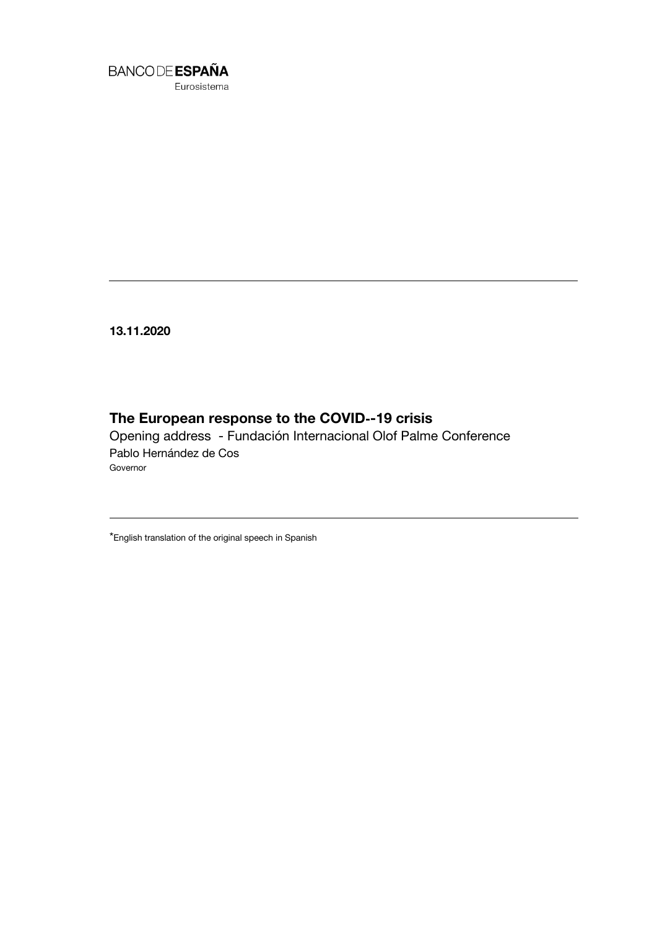

**13.11.2020**

# **The European response to the COVID**‑**-19 crisis**

Opening address - Fundación Internacional Olof Palme Conference Pablo Hernández de Cos Governor

\*English translation of the original speech in Spanish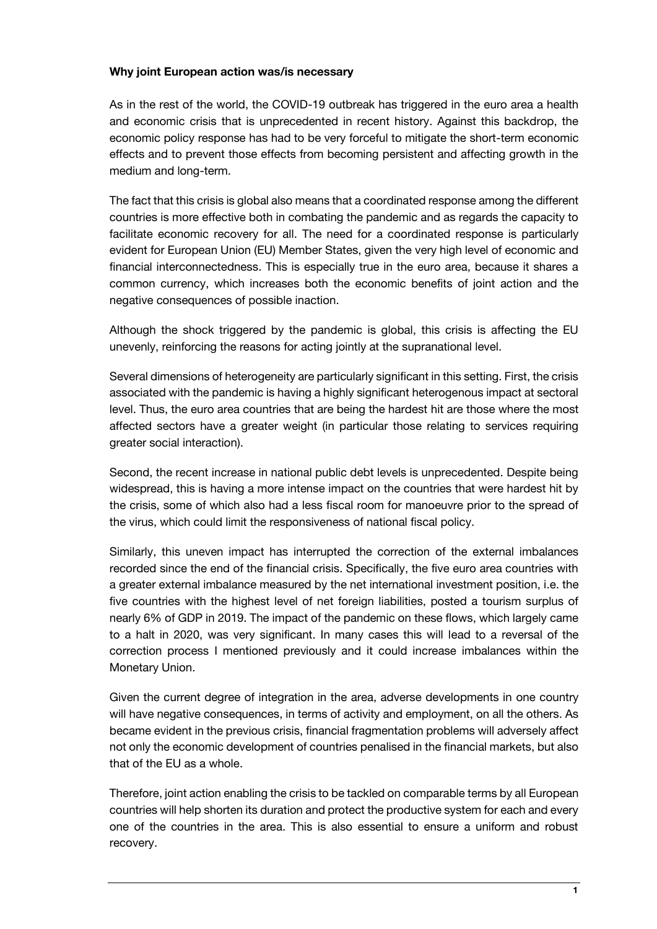## **Why joint European action was/is necessary**

As in the rest of the world, the COVID-19 outbreak has triggered in the euro area a health and economic crisis that is unprecedented in recent history. Against this backdrop, the economic policy response has had to be very forceful to mitigate the short-term economic effects and to prevent those effects from becoming persistent and affecting growth in the medium and long-term.

The fact that this crisis is global also means that a coordinated response among the different countries is more effective both in combating the pandemic and as regards the capacity to facilitate economic recovery for all. The need for a coordinated response is particularly evident for European Union (EU) Member States, given the very high level of economic and financial interconnectedness. This is especially true in the euro area, because it shares a common currency, which increases both the economic benefits of joint action and the negative consequences of possible inaction.

Although the shock triggered by the pandemic is global, this crisis is affecting the EU unevenly, reinforcing the reasons for acting jointly at the supranational level.

Several dimensions of heterogeneity are particularly significant in this setting. First, the crisis associated with the pandemic is having a highly significant heterogenous impact at sectoral level. Thus, the euro area countries that are being the hardest hit are those where the most affected sectors have a greater weight (in particular those relating to services requiring greater social interaction).

Second, the recent increase in national public debt levels is unprecedented. Despite being widespread, this is having a more intense impact on the countries that were hardest hit by the crisis, some of which also had a less fiscal room for manoeuvre prior to the spread of the virus, which could limit the responsiveness of national fiscal policy.

Similarly, this uneven impact has interrupted the correction of the external imbalances recorded since the end of the financial crisis. Specifically, the five euro area countries with a greater external imbalance measured by the net international investment position, i.e. the five countries with the highest level of net foreign liabilities, posted a tourism surplus of nearly 6% of GDP in 2019. The impact of the pandemic on these flows, which largely came to a halt in 2020, was very significant. In many cases this will lead to a reversal of the correction process I mentioned previously and it could increase imbalances within the Monetary Union.

Given the current degree of integration in the area, adverse developments in one country will have negative consequences, in terms of activity and employment, on all the others. As became evident in the previous crisis, financial fragmentation problems will adversely affect not only the economic development of countries penalised in the financial markets, but also that of the EU as a whole.

Therefore, joint action enabling the crisis to be tackled on comparable terms by all European countries will help shorten its duration and protect the productive system for each and every one of the countries in the area. This is also essential to ensure a uniform and robust recovery.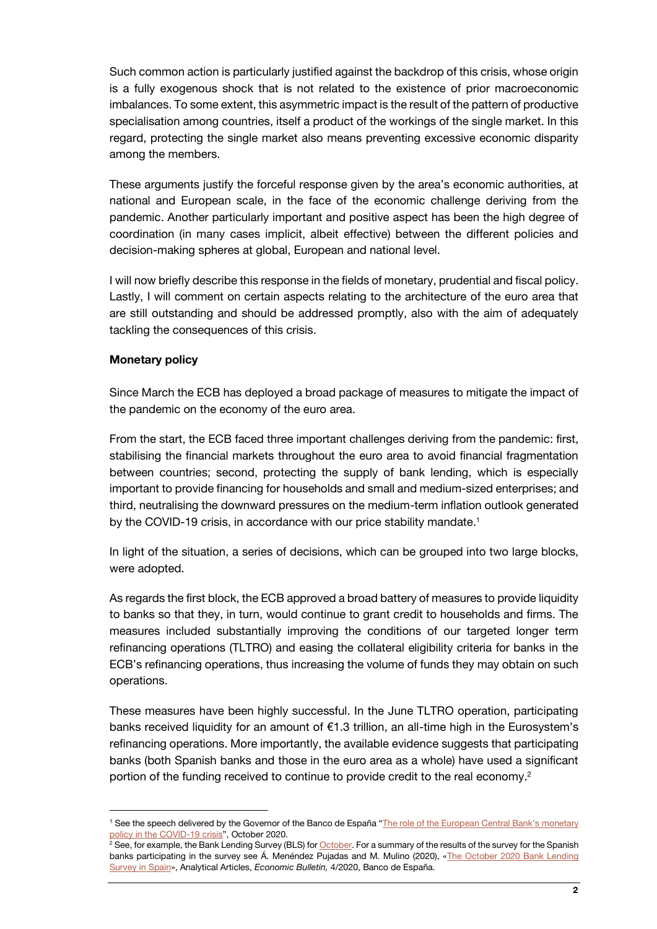Such common action is particularly justified against the backdrop of this crisis, whose origin is a fully exogenous shock that is not related to the existence of prior macroeconomic imbalances. To some extent, this asymmetric impact is the result of the pattern of productive specialisation among countries, itself a product of the workings of the single market. In this regard, protecting the single market also means preventing excessive economic disparity among the members.

These arguments justify the forceful response given by the area's economic authorities, at national and European scale, in the face of the economic challenge deriving from the pandemic. Another particularly important and positive aspect has been the high degree of coordination (in many cases implicit, albeit effective) between the different policies and decision-making spheres at global, European and national level.

I will now briefly describe this response in the fields of monetary, prudential and fiscal policy. Lastly, I will comment on certain aspects relating to the architecture of the euro area that are still outstanding and should be addressed promptly, also with the aim of adequately tackling the consequences of this crisis.

## **Monetary policy**

1

Since March the ECB has deployed a broad package of measures to mitigate the impact of the pandemic on the economy of the euro area.

From the start, the ECB faced three important challenges deriving from the pandemic: first, stabilising the financial markets throughout the euro area to avoid financial fragmentation between countries; second, protecting the supply of bank lending, which is especially important to provide financing for households and small and medium-sized enterprises; and third, neutralising the downward pressures on the medium-term inflation outlook generated by the COVID-19 crisis, in accordance with our price stability mandate.<sup>1</sup>

In light of the situation, a series of decisions, which can be grouped into two large blocks, were adopted.

As regards the first block, the ECB approved a broad battery of measures to provide liquidity to banks so that they, in turn, would continue to grant credit to households and firms. The measures included substantially improving the conditions of our targeted longer term refinancing operations (TLTRO) and easing the collateral eligibility criteria for banks in the ECB's refinancing operations, thus increasing the volume of funds they may obtain on such operations.

These measures have been highly successful. In the June TLTRO operation, participating banks received liquidity for an amount of  $\epsilon$ 1.3 trillion, an all-time high in the Eurosystem's refinancing operations. More importantly, the available evidence suggests that participating banks (both Spanish banks and those in the euro area as a whole) have used a significant portion of the funding received to continue to provide credit to the real economy.<sup>2</sup>

<sup>&</sup>lt;sup>1</sup> See the speech delivered by the Governor of the Banco de España "The role of the European Central Bank's monetary [policy in the COVID-19 crisis](https://www.bde.es/f/webbde/GAP/Secciones/SalaPrensa/IntervencionesPublicas/Gobernador/hdc011020en.pdf)", October 2020.

<sup>&</sup>lt;sup>2</sup> See, for example, the Bank Lending Survey (BLS) fo[r October.](https://www.ecb.europa.eu/stats/ecb_surveys/bank_lending_survey/html/ecb.blssurvey2020q3~a04de75e7f.en.html#toc2) For a summary of the results of the survey for the Spanish banks participating in the survey see Á. Menéndez Pujadas and M. Mulino (2020), [«The October 2020 Bank Lending](https://www.bde.es/f/webbde/SES/Secciones/Publicaciones/InformesBoletinesRevistas/BoletinEconomico/20/T2/descargar/Files/be2002-ite.pdf)  [Survey in Spain»](https://www.bde.es/f/webbde/SES/Secciones/Publicaciones/InformesBoletinesRevistas/BoletinEconomico/20/T2/descargar/Files/be2002-ite.pdf), Analytical Articles, *Economic Bulletin,* 4/2020, Banco de España.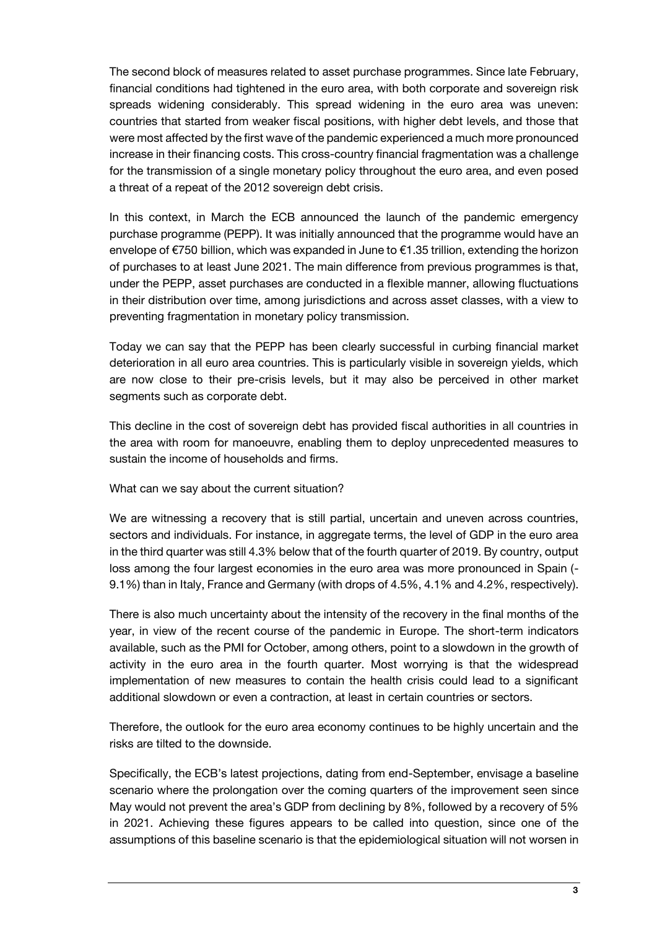The second block of measures related to asset purchase programmes. Since late February, financial conditions had tightened in the euro area, with both corporate and sovereign risk spreads widening considerably. This spread widening in the euro area was uneven: countries that started from weaker fiscal positions, with higher debt levels, and those that were most affected by the first wave of the pandemic experienced a much more pronounced increase in their financing costs. This cross-country financial fragmentation was a challenge for the transmission of a single monetary policy throughout the euro area, and even posed a threat of a repeat of the 2012 sovereign debt crisis.

In this context, in March the ECB announced the launch of the pandemic emergency purchase programme (PEPP). It was initially announced that the programme would have an envelope of €750 billion, which was expanded in June to €1.35 trillion, extending the horizon of purchases to at least June 2021. The main difference from previous programmes is that, under the PEPP, asset purchases are conducted in a flexible manner, allowing fluctuations in their distribution over time, among jurisdictions and across asset classes, with a view to preventing fragmentation in monetary policy transmission.

Today we can say that the PEPP has been clearly successful in curbing financial market deterioration in all euro area countries. This is particularly visible in sovereign yields, which are now close to their pre-crisis levels, but it may also be perceived in other market segments such as corporate debt.

This decline in the cost of sovereign debt has provided fiscal authorities in all countries in the area with room for manoeuvre, enabling them to deploy unprecedented measures to sustain the income of households and firms.

What can we say about the current situation?

We are witnessing a recovery that is still partial, uncertain and uneven across countries, sectors and individuals. For instance, in aggregate terms, the level of GDP in the euro area in the third quarter was still 4.3% below that of the fourth quarter of 2019. By country, output loss among the four largest economies in the euro area was more pronounced in Spain (- 9.1%) than in Italy, France and Germany (with drops of 4.5%, 4.1% and 4.2%, respectively).

There is also much uncertainty about the intensity of the recovery in the final months of the year, in view of the recent course of the pandemic in Europe. The short-term indicators available, such as the PMI for October, among others, point to a slowdown in the growth of activity in the euro area in the fourth quarter. Most worrying is that the widespread implementation of new measures to contain the health crisis could lead to a significant additional slowdown or even a contraction, at least in certain countries or sectors.

Therefore, the outlook for the euro area economy continues to be highly uncertain and the risks are tilted to the downside.

Specifically, the ECB's latest projections, dating from end-September, envisage a baseline scenario where the prolongation over the coming quarters of the improvement seen since May would not prevent the area's GDP from declining by 8%, followed by a recovery of 5% in 2021. Achieving these figures appears to be called into question, since one of the assumptions of this baseline scenario is that the epidemiological situation will not worsen in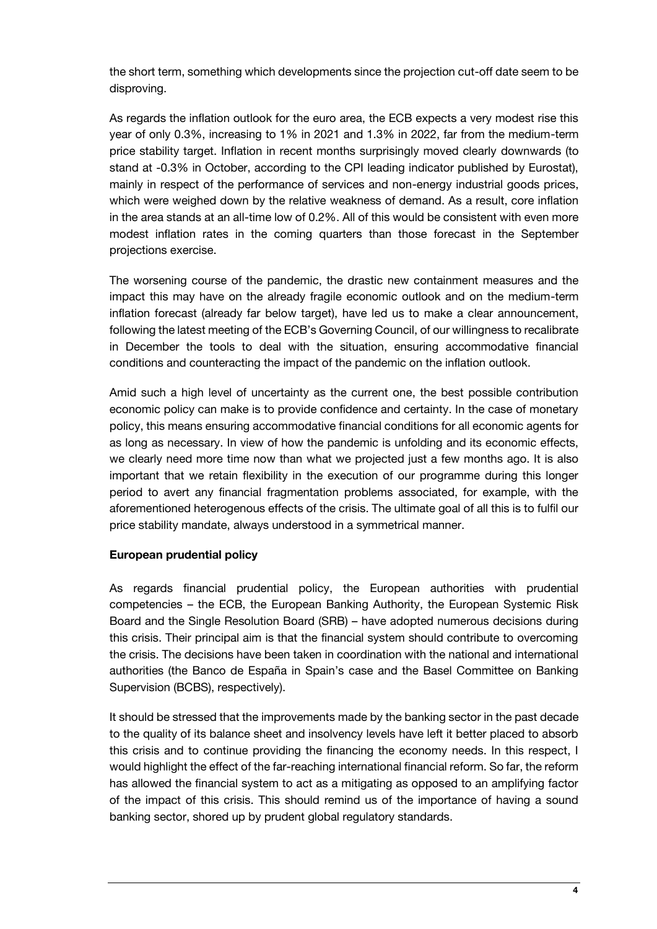the short term, something which developments since the projection cut-off date seem to be disproving.

As regards the inflation outlook for the euro area, the ECB expects a very modest rise this year of only 0.3%, increasing to 1% in 2021 and 1.3% in 2022, far from the medium-term price stability target. Inflation in recent months surprisingly moved clearly downwards (to stand at -0.3% in October, according to the CPI leading indicator published by Eurostat), mainly in respect of the performance of services and non-energy industrial goods prices, which were weighed down by the relative weakness of demand. As a result, core inflation in the area stands at an all-time low of 0.2%. All of this would be consistent with even more modest inflation rates in the coming quarters than those forecast in the September projections exercise.

The worsening course of the pandemic, the drastic new containment measures and the impact this may have on the already fragile economic outlook and on the medium-term inflation forecast (already far below target), have led us to make a clear announcement, following the latest meeting of the ECB's Governing Council, of our willingness to recalibrate in December the tools to deal with the situation, ensuring accommodative financial conditions and counteracting the impact of the pandemic on the inflation outlook.

Amid such a high level of uncertainty as the current one, the best possible contribution economic policy can make is to provide confidence and certainty. In the case of monetary policy, this means ensuring accommodative financial conditions for all economic agents for as long as necessary. In view of how the pandemic is unfolding and its economic effects, we clearly need more time now than what we projected just a few months ago. It is also important that we retain flexibility in the execution of our programme during this longer period to avert any financial fragmentation problems associated, for example, with the aforementioned heterogenous effects of the crisis. The ultimate goal of all this is to fulfil our price stability mandate, always understood in a symmetrical manner.

## **European prudential policy**

As regards financial prudential policy, the European authorities with prudential competencies – the ECB, the European Banking Authority, the European Systemic Risk Board and the Single Resolution Board (SRB) – have adopted numerous decisions during this crisis. Their principal aim is that the financial system should contribute to overcoming the crisis. The decisions have been taken in coordination with the national and international authorities (the Banco de España in Spain's case and the Basel Committee on Banking Supervision (BCBS), respectively).

It should be stressed that the improvements made by the banking sector in the past decade to the quality of its balance sheet and insolvency levels have left it better placed to absorb this crisis and to continue providing the financing the economy needs. In this respect, I would highlight the effect of the far-reaching international financial reform. So far, the reform has allowed the financial system to act as a mitigating as opposed to an amplifying factor of the impact of this crisis. This should remind us of the importance of having a sound banking sector, shored up by prudent global regulatory standards.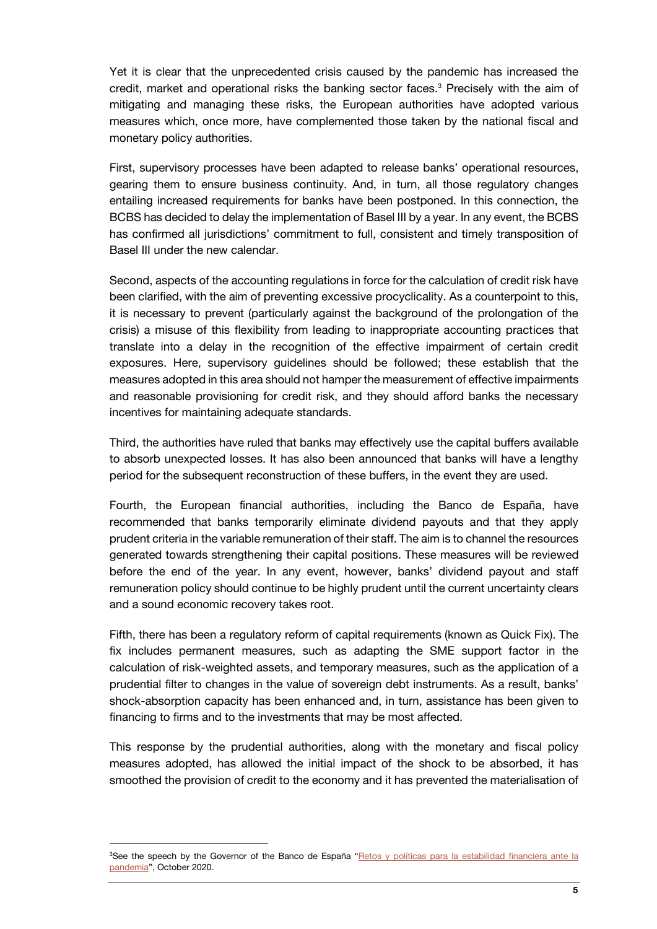Yet it is clear that the unprecedented crisis caused by the pandemic has increased the credit, market and operational risks the banking sector faces.<sup>3</sup> Precisely with the aim of mitigating and managing these risks, the European authorities have adopted various measures which, once more, have complemented those taken by the national fiscal and monetary policy authorities.

First, supervisory processes have been adapted to release banks' operational resources, gearing them to ensure business continuity. And, in turn, all those regulatory changes entailing increased requirements for banks have been postponed. In this connection, the BCBS has decided to delay the implementation of Basel III by a year. In any event, the BCBS has confirmed all jurisdictions' commitment to full, consistent and timely transposition of Basel III under the new calendar.

Second, aspects of the accounting regulations in force for the calculation of credit risk have been clarified, with the aim of preventing excessive procyclicality. As a counterpoint to this, it is necessary to prevent (particularly against the background of the prolongation of the crisis) a misuse of this flexibility from leading to inappropriate accounting practices that translate into a delay in the recognition of the effective impairment of certain credit exposures. Here, supervisory guidelines should be followed; these establish that the measures adopted in this area should not hamper the measurement of effective impairments and reasonable provisioning for credit risk, and they should afford banks the necessary incentives for maintaining adequate standards.

Third, the authorities have ruled that banks may effectively use the capital buffers available to absorb unexpected losses. It has also been announced that banks will have a lengthy period for the subsequent reconstruction of these buffers, in the event they are used.

Fourth, the European financial authorities, including the Banco de España, have recommended that banks temporarily eliminate dividend payouts and that they apply prudent criteria in the variable remuneration of their staff. The aim is to channel the resources generated towards strengthening their capital positions. These measures will be reviewed before the end of the year. In any event, however, banks' dividend payout and staff remuneration policy should continue to be highly prudent until the current uncertainty clears and a sound economic recovery takes root.

Fifth, there has been a regulatory reform of capital requirements (known as Quick Fix). The fix includes permanent measures, such as adapting the SME support factor in the calculation of risk-weighted assets, and temporary measures, such as the application of a prudential filter to changes in the value of sovereign debt instruments. As a result, banks' shock-absorption capacity has been enhanced and, in turn, assistance has been given to financing to firms and to the investments that may be most affected.

This response by the prudential authorities, along with the monetary and fiscal policy measures adopted, has allowed the initial impact of the shock to be absorbed, it has smoothed the provision of credit to the economy and it has prevented the materialisation of

1

<sup>&</sup>lt;sup>3</sup>See the speech by the Governor of the Banco de España "Retos y políticas para la estabilidad financiera ante la [pandemia](https://www.bde.es/f/webbde/GAP/Secciones/SalaPrensa/NotasInformativas/20/presbe2020_25en.pdf)", October 2020.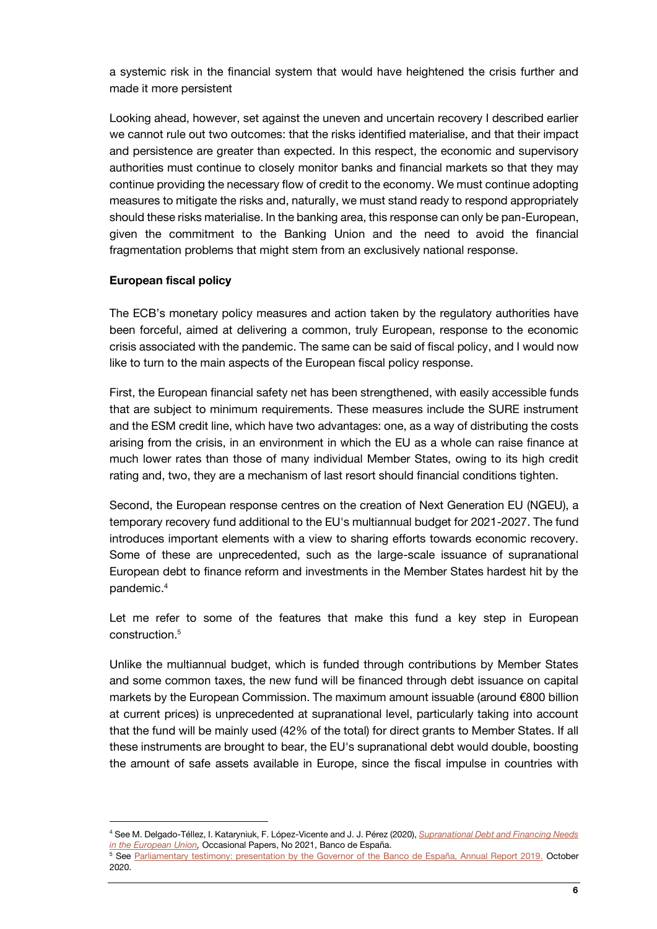a systemic risk in the financial system that would have heightened the crisis further and made it more persistent

Looking ahead, however, set against the uneven and uncertain recovery I described earlier we cannot rule out two outcomes: that the risks identified materialise, and that their impact and persistence are greater than expected. In this respect, the economic and supervisory authorities must continue to closely monitor banks and financial markets so that they may continue providing the necessary flow of credit to the economy. We must continue adopting measures to mitigate the risks and, naturally, we must stand ready to respond appropriately should these risks materialise. In the banking area, this response can only be pan-European, given the commitment to the Banking Union and the need to avoid the financial fragmentation problems that might stem from an exclusively national response.

## **European fiscal policy**

l

The ECB's monetary policy measures and action taken by the regulatory authorities have been forceful, aimed at delivering a common, truly European, response to the economic crisis associated with the pandemic. The same can be said of fiscal policy, and I would now like to turn to the main aspects of the European fiscal policy response.

First, the European financial safety net has been strengthened, with easily accessible funds that are subject to minimum requirements. These measures include the SURE instrument and the ESM credit line, which have two advantages: one, as a way of distributing the costs arising from the crisis, in an environment in which the EU as a whole can raise finance at much lower rates than those of many individual Member States, owing to its high credit rating and, two, they are a mechanism of last resort should financial conditions tighten.

Second, the European response centres on the creation of Next Generation EU (NGEU), a temporary recovery fund additional to the EU's multiannual budget for 2021-2027. The fund introduces important elements with a view to sharing efforts towards economic recovery. Some of these are unprecedented, such as the large-scale issuance of supranational European debt to finance reform and investments in the Member States hardest hit by the pandemic.<sup>4</sup>

Let me refer to some of the features that make this fund a key step in European construction.<sup>5</sup>

Unlike the multiannual budget, which is funded through contributions by Member States and some common taxes, the new fund will be financed through debt issuance on capital markets by the European Commission. The maximum amount issuable (around €800 billion at current prices) is unprecedented at supranational level, particularly taking into account that the fund will be mainly used (42% of the total) for direct grants to Member States. If all these instruments are brought to bear, the EU's supranational debt would double, boosting the amount of safe assets available in Europe, since the fiscal impulse in countries with

<sup>4</sup> See M. Delgado-Téllez, I. Kataryniuk, F. López-Vicente and J. J. Pérez (2020), *[Supranational Debt and Financing Needs](https://www.bde.es/f/webbde/SES/Secciones/Publicaciones/PublicacionesSeriadas/DocumentosOcasionales/20/Files/do2021e.pdf)  [in the European Union,](https://www.bde.es/f/webbde/SES/Secciones/Publicaciones/PublicacionesSeriadas/DocumentosOcasionales/20/Files/do2021e.pdf)* Occasional Papers, No 2021, Banco de España.

<sup>&</sup>lt;sup>5</sup> See [Parliamentary testimony: presentation by the Governor of the Banco de España, Annual Report 2019.](https://www.bde.es/f/webbde/GAP/Secciones/SalaPrensa/IntervencionesPublicas/Gobernador/Arc/Fic/hdc061020en-g.pdf) October 2020.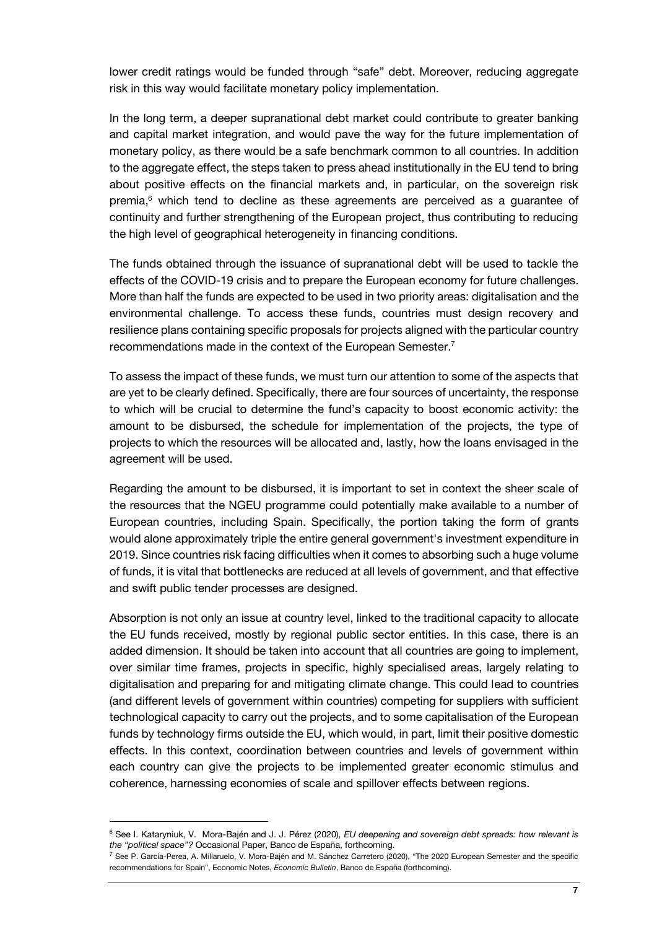lower credit ratings would be funded through "safe" debt. Moreover, reducing aggregate risk in this way would facilitate monetary policy implementation.

In the long term, a deeper supranational debt market could contribute to greater banking and capital market integration, and would pave the way for the future implementation of monetary policy, as there would be a safe benchmark common to all countries. In addition to the aggregate effect, the steps taken to press ahead institutionally in the EU tend to bring about positive effects on the financial markets and, in particular, on the sovereign risk premia,<sup>6</sup> which tend to decline as these agreements are perceived as a guarantee of continuity and further strengthening of the European project, thus contributing to reducing the high level of geographical heterogeneity in financing conditions.

The funds obtained through the issuance of supranational debt will be used to tackle the effects of the COVID-19 crisis and to prepare the European economy for future challenges. More than half the funds are expected to be used in two priority areas: digitalisation and the environmental challenge. To access these funds, countries must design recovery and resilience plans containing specific proposals for projects aligned with the particular country recommendations made in the context of the European Semester.<sup>7</sup>

To assess the impact of these funds, we must turn our attention to some of the aspects that are yet to be clearly defined. Specifically, there are four sources of uncertainty, the response to which will be crucial to determine the fund's capacity to boost economic activity: the amount to be disbursed, the schedule for implementation of the projects, the type of projects to which the resources will be allocated and, lastly, how the loans envisaged in the agreement will be used.

Regarding the amount to be disbursed, it is important to set in context the sheer scale of the resources that the NGEU programme could potentially make available to a number of European countries, including Spain. Specifically, the portion taking the form of grants would alone approximately triple the entire general government's investment expenditure in 2019. Since countries risk facing difficulties when it comes to absorbing such a huge volume of funds, it is vital that bottlenecks are reduced at all levels of government, and that effective and swift public tender processes are designed.

Absorption is not only an issue at country level, linked to the traditional capacity to allocate the EU funds received, mostly by regional public sector entities. In this case, there is an added dimension. It should be taken into account that all countries are going to implement, over similar time frames, projects in specific, highly specialised areas, largely relating to digitalisation and preparing for and mitigating climate change. This could lead to countries (and different levels of government within countries) competing for suppliers with sufficient technological capacity to carry out the projects, and to some capitalisation of the European funds by technology firms outside the EU, which would, in part, limit their positive domestic effects. In this context, coordination between countries and levels of government within each country can give the projects to be implemented greater economic stimulus and coherence, harnessing economies of scale and spillover effects between regions.

l

<sup>6</sup> See I. Kataryniuk, V. Mora-Bajén and J. J. Pérez (2020), *EU deepening and sovereign debt spreads: how relevant is the "political space"?* Occasional Paper, Banco de España, forthcoming.

 $^7$  See P. García-Perea, A. Millaruelo, V. Mora-Bajén and M. Sánchez Carretero (2020), "The 2020 European Semester and the specific recommendations for Spain", Economic Notes, *Economic Bulletin*, Banco de España (forthcoming).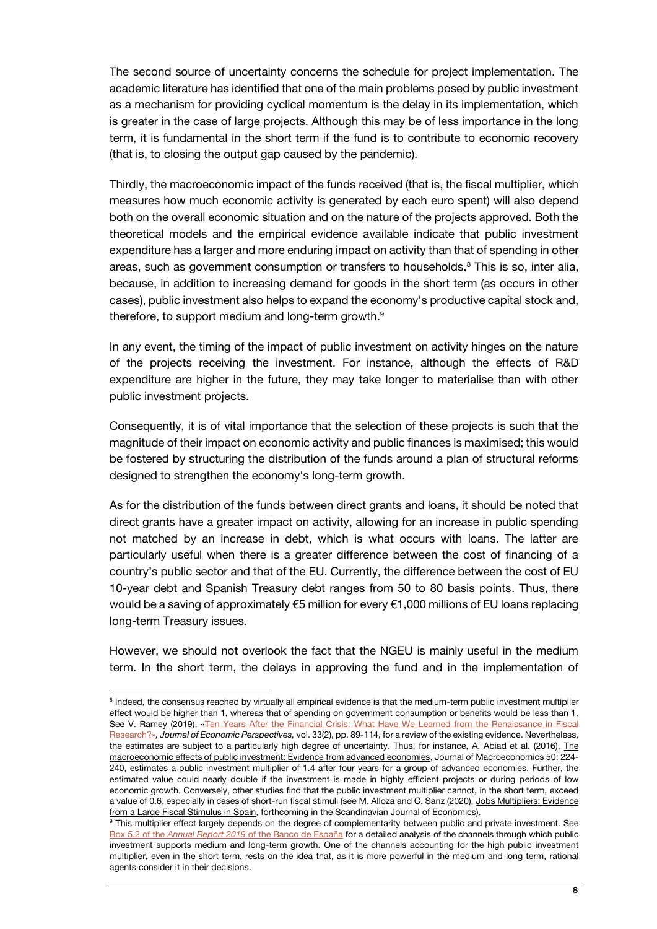The second source of uncertainty concerns the schedule for project implementation. The academic literature has identified that one of the main problems posed by public investment as a mechanism for providing cyclical momentum is the delay in its implementation, which is greater in the case of large projects. Although this may be of less importance in the long term, it is fundamental in the short term if the fund is to contribute to economic recovery (that is, to closing the output gap caused by the pandemic).

Thirdly, the macroeconomic impact of the funds received (that is, the fiscal multiplier, which measures how much economic activity is generated by each euro spent) will also depend both on the overall economic situation and on the nature of the projects approved. Both the theoretical models and the empirical evidence available indicate that public investment expenditure has a larger and more enduring impact on activity than that of spending in other areas, such as government consumption or transfers to households.<sup>8</sup> This is so, inter alia, because, in addition to increasing demand for goods in the short term (as occurs in other cases), public investment also helps to expand the economy's productive capital stock and, therefore, to support medium and long-term growth.<sup>9</sup>

In any event, the timing of the impact of public investment on activity hinges on the nature of the projects receiving the investment. For instance, although the effects of R&D expenditure are higher in the future, they may take longer to materialise than with other public investment projects.

Consequently, it is of vital importance that the selection of these projects is such that the magnitude of their impact on economic activity and public finances is maximised; this would be fostered by structuring the distribution of the funds around a plan of structural reforms designed to strengthen the economy's long-term growth.

As for the distribution of the funds between direct grants and loans, it should be noted that direct grants have a greater impact on activity, allowing for an increase in public spending not matched by an increase in debt, which is what occurs with loans. The latter are particularly useful when there is a greater difference between the cost of financing of a country's public sector and that of the EU. Currently, the difference between the cost of EU 10-year debt and Spanish Treasury debt ranges from 50 to 80 basis points. Thus, there would be a saving of approximately €5 million for every €1,000 millions of EU loans replacing long-term Treasury issues.

However, we should not overlook the fact that the NGEU is mainly useful in the medium term. In the short term, the delays in approving the fund and in the implementation of

j

<sup>&</sup>lt;sup>8</sup> Indeed, the consensus reached by virtually all empirical evidence is that the medium-term public investment multiplier effect would be higher than 1, whereas that of spending on government consumption or benefits would be less than 1. See V. Ramey (2019), [«Ten Years After the Financial Crisis:](https://www.aeaweb.org/articles?id=10.1257/jep.33.2.89) What Have We Learned from the Renaissance in Fiscal [Research?»](https://www.aeaweb.org/articles?id=10.1257/jep.33.2.89)*, Journal of Economic Perspectives,* vol. 33(2), pp. 89-114, for a review of the existing evidence. Nevertheless, the estimates are subject to a particularly high degree of uncertainty. Thus, for instance, A. Abiad et al. (2016), [The](https://reader.elsevier.com/reader/sd/pii/S0164070416300374?token=11D2454FC068F7124D2847F95BFE728C25BB21EA0AA5A39937D3DD00746289F342378EFD3C632E80B1E22AC50EF198AB)  [macroeconomic effects of public investment: Evidence from advanced economies,](https://reader.elsevier.com/reader/sd/pii/S0164070416300374?token=11D2454FC068F7124D2847F95BFE728C25BB21EA0AA5A39937D3DD00746289F342378EFD3C632E80B1E22AC50EF198AB) Journal of Macroeconomics 50: 224- 240, estimates a public investment multiplier of 1.4 after four years for a group of advanced economies. Further, the estimated value could nearly double if the investment is made in highly efficient projects or during periods of low economic growth. Conversely, other studies find that the public investment multiplier cannot, in the short term, exceed a value of 0.6, especially in cases of short-run fiscal stimuli (see M. Alloza and C. Sanz (2020)[, Jobs Multipliers: Evidence](https://onlinelibrary.wiley.com/doi/abs/10.1111/sjoe.12428)  [from a Large Fiscal Stimulus in Spain,](https://onlinelibrary.wiley.com/doi/abs/10.1111/sjoe.12428) forthcoming in the Scandinavian Journal of Economics).

<sup>&</sup>lt;sup>9</sup> This multiplier effect largely depends on the degree of complementarity between public and private investment. See Box 5.2 of the *Annual Report 2019* [of the Banco de España](https://www.bde.es/f/webbde/SES/Secciones/Publicaciones/InformesBoletinesRevistas/BoletinEconomico/19/T2/descargar/Files/be2002-ite.pdf) for a detailed analysis of the channels through which public investment supports medium and long-term growth. One of the channels accounting for the high public investment multiplier, even in the short term, rests on the idea that, as it is more powerful in the medium and long term, rational agents consider it in their decisions.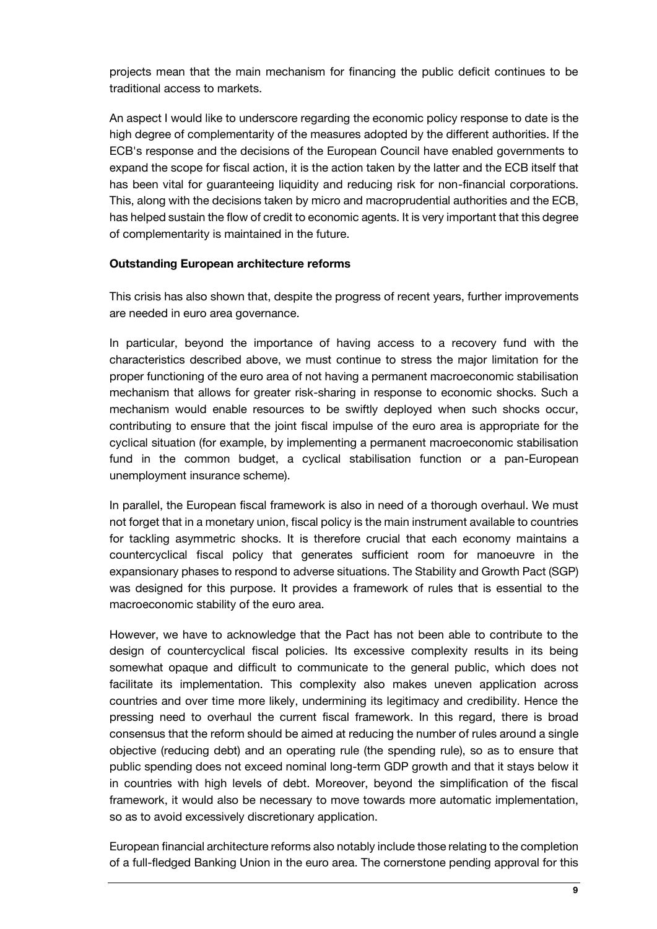projects mean that the main mechanism for financing the public deficit continues to be traditional access to markets.

An aspect I would like to underscore regarding the economic policy response to date is the high degree of complementarity of the measures adopted by the different authorities. If the ECB's response and the decisions of the European Council have enabled governments to expand the scope for fiscal action, it is the action taken by the latter and the ECB itself that has been vital for guaranteeing liquidity and reducing risk for non-financial corporations. This, along with the decisions taken by micro and macroprudential authorities and the ECB, has helped sustain the flow of credit to economic agents. It is very important that this degree of complementarity is maintained in the future.

#### **Outstanding European architecture reforms**

This crisis has also shown that, despite the progress of recent years, further improvements are needed in euro area governance.

In particular, beyond the importance of having access to a recovery fund with the characteristics described above, we must continue to stress the major limitation for the proper functioning of the euro area of not having a permanent macroeconomic stabilisation mechanism that allows for greater risk-sharing in response to economic shocks. Such a mechanism would enable resources to be swiftly deployed when such shocks occur, contributing to ensure that the joint fiscal impulse of the euro area is appropriate for the cyclical situation (for example, by implementing a permanent macroeconomic stabilisation fund in the common budget, a cyclical stabilisation function or a pan-European unemployment insurance scheme).

In parallel, the European fiscal framework is also in need of a thorough overhaul. We must not forget that in a monetary union, fiscal policy is the main instrument available to countries for tackling asymmetric shocks. It is therefore crucial that each economy maintains a countercyclical fiscal policy that generates sufficient room for manoeuvre in the expansionary phases to respond to adverse situations. The Stability and Growth Pact (SGP) was designed for this purpose. It provides a framework of rules that is essential to the macroeconomic stability of the euro area.

However, we have to acknowledge that the Pact has not been able to contribute to the design of countercyclical fiscal policies. Its excessive complexity results in its being somewhat opaque and difficult to communicate to the general public, which does not facilitate its implementation. This complexity also makes uneven application across countries and over time more likely, undermining its legitimacy and credibility. Hence the pressing need to overhaul the current fiscal framework. In this regard, there is broad consensus that the reform should be aimed at reducing the number of rules around a single objective (reducing debt) and an operating rule (the spending rule), so as to ensure that public spending does not exceed nominal long-term GDP growth and that it stays below it in countries with high levels of debt. Moreover, beyond the simplification of the fiscal framework, it would also be necessary to move towards more automatic implementation, so as to avoid excessively discretionary application.

European financial architecture reforms also notably include those relating to the completion of a full-fledged Banking Union in the euro area. The cornerstone pending approval for this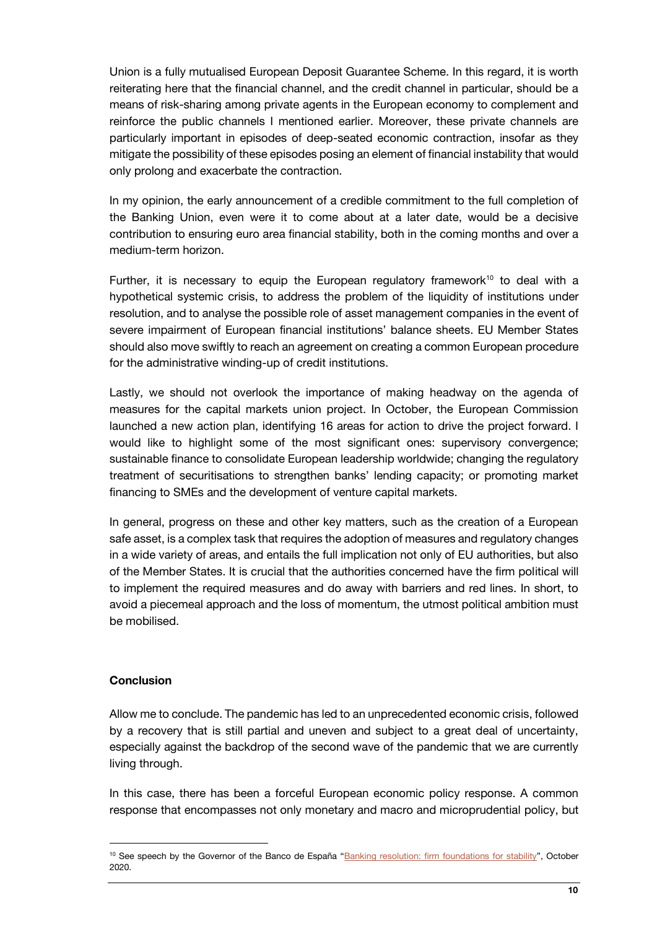Union is a fully mutualised European Deposit Guarantee Scheme. In this regard, it is worth reiterating here that the financial channel, and the credit channel in particular, should be a means of risk-sharing among private agents in the European economy to complement and reinforce the public channels I mentioned earlier. Moreover, these private channels are particularly important in episodes of deep-seated economic contraction, insofar as they mitigate the possibility of these episodes posing an element of financial instability that would only prolong and exacerbate the contraction.

In my opinion, the early announcement of a credible commitment to the full completion of the Banking Union, even were it to come about at a later date, would be a decisive contribution to ensuring euro area financial stability, both in the coming months and over a medium-term horizon.

Further, it is necessary to equip the European regulatory framework<sup>10</sup> to deal with a hypothetical systemic crisis, to address the problem of the liquidity of institutions under resolution, and to analyse the possible role of asset management companies in the event of severe impairment of European financial institutions' balance sheets. EU Member States should also move swiftly to reach an agreement on creating a common European procedure for the administrative winding-up of credit institutions.

Lastly, we should not overlook the importance of making headway on the agenda of measures for the capital markets union project. In October, the European Commission launched a new action plan, identifying 16 areas for action to drive the project forward. I would like to highlight some of the most significant ones: supervisory convergence; sustainable finance to consolidate European leadership worldwide; changing the regulatory treatment of securitisations to strengthen banks' lending capacity; or promoting market financing to SMEs and the development of venture capital markets.

In general, progress on these and other key matters, such as the creation of a European safe asset, is a complex task that requires the adoption of measures and regulatory changes in a wide variety of areas, and entails the full implication not only of EU authorities, but also of the Member States. It is crucial that the authorities concerned have the firm political will to implement the required measures and do away with barriers and red lines. In short, to avoid a piecemeal approach and the loss of momentum, the utmost political ambition must be mobilised.

## **Conclusion**

1

Allow me to conclude. The pandemic has led to an unprecedented economic crisis, followed by a recovery that is still partial and uneven and subject to a great deal of uncertainty, especially against the backdrop of the second wave of the pandemic that we are currently living through.

In this case, there has been a forceful European economic policy response. A common response that encompasses not only monetary and macro and microprudential policy, but

<sup>&</sup>lt;sup>10</sup> See speech by the Governor of the Banco de España "[Banking resolution: firm foundations for stability](https://www.bde.es/f/webbde/GAP/Secciones/SalaPrensa/IntervencionesPublicas/Gobernador/Arc/Fic/hdc081020en.pdf)", October 2020.